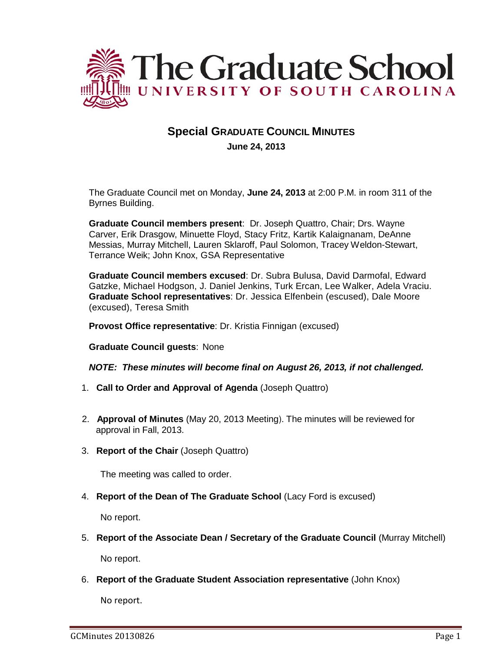

# **Special GRADUATE COUNCIL MINUTES June 24, 2013**

The Graduate Council met on Monday, **June 24, 2013** at 2:00 P.M. in room 311 of the Byrnes Building.

**Graduate Council members present**: Dr. Joseph Quattro, Chair; Drs. Wayne Carver, Erik Drasgow, Minuette Floyd, Stacy Fritz, Kartik Kalaignanam, DeAnne Messias, Murray Mitchell, Lauren Sklaroff, Paul Solomon, Tracey Weldon-Stewart, Terrance Weik; John Knox, GSA Representative

**Graduate Council members excused**: Dr. Subra Bulusa, David Darmofal, Edward Gatzke, Michael Hodgson, J. Daniel Jenkins, Turk Ercan, Lee Walker, Adela Vraciu. **Graduate School representatives**: Dr. Jessica Elfenbein (escused), Dale Moore (excused), Teresa Smith

**Provost Office representative**: Dr. Kristia Finnigan (excused)

**Graduate Council guests**: None

#### *NOTE: These minutes will become final on August 26, 2013, if not challenged.*

- 1. **Call to Order and Approval of Agenda** (Joseph Quattro)
- 2. **Approval of Minutes** (May 20, 2013 Meeting). The minutes will be reviewed for approval in Fall, 2013.
- 3. **Report of the Chair** (Joseph Quattro)

The meeting was called to order.

4. **Report of the Dean of The Graduate School** (Lacy Ford is excused)

No report.

5. **Report of the Associate Dean / Secretary of the Graduate Council** (Murray Mitchell)

No report.

6. **Report of the Graduate Student Association representative** (John Knox)

No report.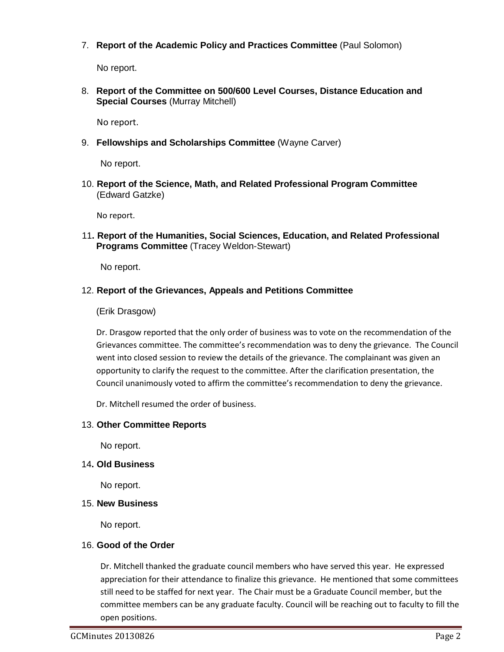7. **Report of the Academic Policy and Practices Committee** (Paul Solomon)

No report.

8. **Report of the Committee on 500/600 Level Courses, Distance Education and Special Courses** (Murray Mitchell)

No report.

9. **Fellowships and Scholarships Committee** (Wayne Carver)

No report.

10. **Report of the Science, Math, and Related Professional Program Committee** (Edward Gatzke)

No report.

11**. Report of the Humanities, Social Sciences, Education, and Related Professional Programs Committee** (Tracey Weldon-Stewart)

No report.

### 12. **Report of the Grievances, Appeals and Petitions Committee**

(Erik Drasgow)

Dr. Drasgow reported that the only order of business was to vote on the recommendation of the Grievances committee. The committee's recommendation was to deny the grievance. The Council went into closed session to review the details of the grievance. The complainant was given an opportunity to clarify the request to the committee. After the clarification presentation, the Council unanimously voted to affirm the committee's recommendation to deny the grievance.

Dr. Mitchell resumed the order of business.

# 13. **Other Committee Reports**

No report.

# 14**. Old Business**

No report.

#### 15. **New Business**

No report.

# 16. **Good of the Order**

Dr. Mitchell thanked the graduate council members who have served this year. He expressed appreciation for their attendance to finalize this grievance. He mentioned that some committees still need to be staffed for next year. The Chair must be a Graduate Council member, but the committee members can be any graduate faculty. Council will be reaching out to faculty to fill the open positions.